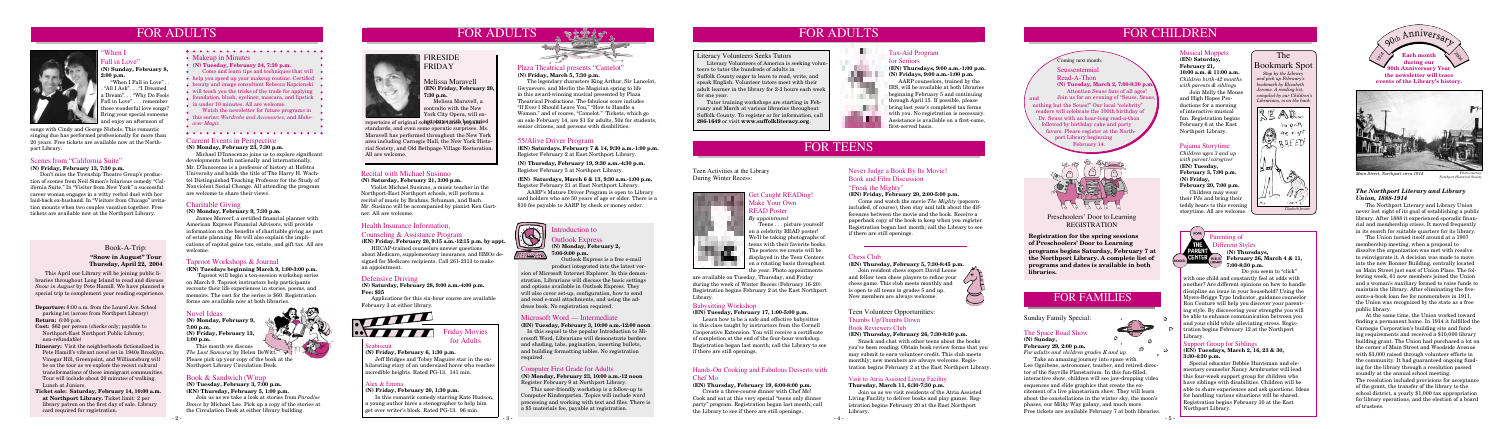# FOR ADULTS

When I all in Love"

**Departure:** 8:00 a.m. from the Laurel Ave. School parking lot (across from Northport Library)

- **Return:** 6:00 p.m.
- **Cost:** \$62 per person (checks only; payable to Northport-East Northport Public Library; non-refundable)

**Itinerary:** Visit the neighborhoods fictionalized in Pete Hamill's vibrant novel set in 1940s Brooklyn. Vinegar Hill, Greenpoint, and Williamsburg will be on the tour as we explore the recent cultural transformations of these immigrant communities. Tour will include about 20 minutes of walking. Lunch at Juniors.

**Ticket sale: Saturday, February 14, 10:00 a.m. at Northport Library.** Ticket limit: 2 per library patron on the first day of sale. Library card required for registration.

Book-A-Trip: **"Snow in August" Tour Thursday, April 22, 2004**

# FOR ADULTS



#### Health Insurance Information,

#### Counseling & Assistance Program

**(EN) Friday, February 20, 9:15 a.m.-12:15 p.m. by appt.**

HIICAP-trained counselors answer questions about Medicare, supplementary insurance, and HMOs designed for Medicare recipients. Call 261-2313 to make an appointment.

- 5 -



# FOR TEENS

# FOR CHILDREN





#### The Bookmark Spot

 *Stop by the Library and pick up February's bookmark by Elizabeth Jerome. A reading list, compiled by our Children's Librarians, is on the back.*

- • Makeup in Minutes
- **(N) Tuesday, February 24, 7:30 p.m.**
- **Come and learn tips and techniques that will**  $\bullet$
- help you speed up your makeup routine. Certified
- beauty and image consultant Rebecca Kopcienski
- will teach you the tricks of the trade for applying
- foundation, blush, eyeliner, mascara, and lipstick in under 10 minutes. All are welcome.
- Watch the newsletter for future programs in
- this series: *Wardrobe and Accessories*, and *Makeover Magic*.
- 



#### Computer First Grade for Adults

**(N) Monday, February 23, 10:00 a.m.-12 noon** Register February 9 at Northport Library.

This user-friendly workshop is a follow-up to Computer Kindergarten. Topics will include word processing and working with text and files. There is a \$5 materials fee, payable at registration.

#### Never Judge a Book By Its Movie! Book and Film Discussion "Freak the Mighty"

#### **(EN) Friday, February 20, 2:00-5:00 p.m.**

 Come and watch the movie *The Mighty* (popcorn included, of course), then stay and talk about the differences between the movie and the book. Receive a paperback copy of the book to keep when you register. Registration began last month; call the Library to see if there are still openings.

#### Pajama Storytime

*Children ages 3 and up with parent/caregiver* **(EN) Tuesday, February 3, 7:00 p.m. (N) Friday, February 20, 7:00 p.m.** Children may wear their PJs and bring their teddy bears to this evening storytime. All are welcome.

#### Novel Ideas

**(N) Monday, February 9, 7:00 p.m. (N) Friday, February 13, 1:00 p.m.**

 This month we discuss *The Last Samurai* by Helen DeWitt. Please pick up your copy of the book at the Northport Library Circulation Desk.

#### Book & Sandwich (W)rap

**(N) Tuesday, February 3, 7:00 p.m. (EN) Thursday, February 5, 1:00 p.m.**

Join us as we take a look at stories from *Paradise Dance* by Michael Lee. Pick up a copy of the stories at the Circulation Desk at either library building.





Melissa Maravell **(EN) Friday, February 20, 7:30 p.m.** Melissa Maravell, a

contralto with the New York City Opera, will en-

#### Scenes from "California Suite"

**(N) Friday, February 13, 7:30 p.m.**

Don't miss the Township Theatre Group's production of scenes from Neil Simon's hilarious comedy "California Suite." In "Visitor from New York" a successful career woman engages in a witty verbal duel with her laid-back ex-husband. In "Visitors from Chicago" irritation mounts when two couples vacation together. Free tickets are available now at the Northport Library.

**(N) Sunday, February 8, 2:00 p.m.**

> Parenting of<br>PARENT Different Sty Different Styles **(N) Thursdays, CENTER** PUBLIC February 26, March 4 & 11, **7:00-8:30 p.m.**

"When I Fall in Love" . . . "All I Ask". . . "I Dreamed a Dream". . . "Why Do Fools Fall in Love" . . . remember these wonderful love songs? Bring your special someone and enjoy an afternoon of

#### 55/Alive Driver Program

**(EN) Saturdays, February 7 & 14, 9:30 a.m.-1:00 p.m.** Register February 2 at East Northport Library.

**(N) Thursday, February 19, 9:30 a.m.-4:30 p.m.** Register February 5 at Northport Library.

## $\bigcirc$ troduction to Outlook Express **(N) Monday, February 2,**

**(EN) Saturdays, March 6 & 13, 9:30 a.m.-1:00 p.m.** Register February 21 at East Northport Library.

 AARP's Mature Driver Program is open to Library card holders who are 50 years of age or older. There is a \$10 fee payable to AARP by check or money order.



#### Chess Club

#### **(EN) Thursday, February 5, 7:30-8:45 p.m.**

 Join resident chess expert David Leone and fellow teen chess players to refine your chess game. This club meets monthly and is open to all teens in grades 5 and up. New members are always welcome.

#### Babysitting Workshop

#### **(EN) Tuesday, February 17, 1:00-5:00 p.m.**

repertoire of original so<del>lugs, ale with her varied</del> on sale February 14, are \$1 for adults, 50¢ for students, 286-1649 or visit www.suffolkliteracy.org. The legendary characters King Arthur, Sir Lancelot, Gwynevere, and Merlin the Magician spring to life in this award-winning musical presented by Plaza Theatrical Productions. The fabulous score includes "If Ever I Should Leave You," "How to Handle a Woman," and of course, "Camelot." Tickets, which go on sale February 14, are \$1 for adults, 50¢ for students, senior citizens, and persons with disabilities.

> Learn how to be a safe and effective babysitter in this class taught by instructors from the Cornell Cooperative Extension. You will receive a certificate of completion at the end of the four-hour workshop. Registration began last month; call the Library to see if there are still openings.

#### Hands-On Cooking and Fabulous Desserts with Chef Mo

#### **(EN) Thursday, February 19, 6:00-8:00 p.m.**

 Create a three-course dinner with Chef Mo! Cook and eat at this very special "teens only dinner party" program. Registration began last month; call the Library to see if there are still openings.

## Teen Volunteer Opportunities: Thumbs Up/Thumbs Down

#### Book Reviewers Club

#### **(EN) Thursday, February 26, 7:30-8:30 p.m.**

 Snack and chat with other teens about the books you've been reading. Obtain book review forms that you may submit to earn volunteer credit. This club meets monthly; new members are always welcome. Registration begins February 2 at the East Northport Library.

#### Seabiscuit

#### **(N) Friday, February 6, 1:30 p.m.**

Jeff Bridges and Tobey Maguire star in the exhilarating story of an undersized horse who reaches incredible heights. Rated PG-13. 141 min.



for Adults

#### Alex & Emma

**(N) Friday, February 20, 1:30 p.m.**

In this romantic comedy starring Kate Hudson, a young author hires a stenographer to help him get over writer's block. Rated PG-13. 96 min.



# FOR FAMILIES

#### The Space Road Show **(N) Sunday,**

**February 29, 2:00 p.m.** *For adults and children grades K and up*

 Take an amazing journey into space with Lee Ognibene, astronomer, teacher, and retired director of the Sayville Planetarium. In this fun-filled, interactive show, children will see jaw-dropping video sequences and slide graphics that create the excitement of a live planetarium show. They will learn about the constellations in the winter sky, the moon's phases, our Milky Way galaxy, and much more. Free tickets are available February 7 at both libraries.

# FOR ADULTS

a ka

**STATE** 

#### Current Events in Perspective

**(N) Monday, February 23, 7:30 p.m.**

 Michael D'Innocenzo joins us to explore significant developments both nationally and internationally. Mr. D'Innocenzo is a professor of history at Hofstra University and holds the title of The Harry H. Wachtel Distinguished Teaching Professor for the Study of Nonviolent Social Change. All attending the program are welcome to share their views.

#### Sunday Family Special:

#### Support Group for Siblings

**(EN) Tuesdays, March 2, 16, 23 & 30, 3:30-4:30 p.m.**

 able to share experiences and ask questions. Ideas Special educator Debbie Huntsman and elementary counselor Nancy Armbruster will lead this four-week support group for children who have siblings with disabilities. Children will be for handling various situations will be shared. Registration begins February 10 at the East Northport Library.

Do you seem to "click" with one child and constantly feel at odds with

another? Are different opinions on how to handle discipline an issue in your household? Using the Myers-Briggs Type Indicator, guidance counselor Ron Couture will help you discover your parenting style. By discovering your strengths you will be able to enhance communication between you and your child while alleviating stress. Registration begins February 12 at the Northport Library.

#### Taproot Workshops & Journal

**(EN) Tuesdays beginning March 9, 1:00-3:00 p.m.**

 Taproot will begin a ten-session workshop series on March 9. Taproot instructors help participants recreate their life experiences in stories, poems, and memoirs. The cost for the series is \$60. Registration forms are available now at both libraries.

#### **7:00-9:00 p.m.** <u>Harris</u> Outlook Express is a free e-mail product integrated into the latest ver-

Microsoft Word — Intermediate **(EN) Tuesday, February 3, 10:00 a.m.-12:00 noon** crosoft Word, Librarians will demonstrate borders and shading, tabs, pagination, inserting bullets, and building formatting tables. No registration

In this sequel to the popular Introduction to Mirequired.

#### Charitable Giving

**(N) Monday, February 9, 7:30 p.m.**

James Morcerf, a certified financial planner with American Express Financial Advisors, will provide information on the benefits of charitable giving as part of estate planning. He will also explain the implications of capital gains tax, estate, and gift tax. All are welcome.

#### Plaza Theatrical presents "Camelot" **(N) Friday, March 5, 7:30 p.m.**

#### Recital with Michael Susinno

**(N) Saturday, February 21, 3:00 p.m.**

Violist Michael Susinno, a music teacher in the Northport-East Northport schools, will perform a recital of music by Brahms, Schuman, and Bach. Mr. Susinno will be accompanied by pianist Ken Gartner. All are welcome.

 This April our Library will be joining public libraries throughout Long Island to read and discuss *Snow in August* by Pete Hamill. We have planned a special trip to complement your reading experience.

#### Visit to Atria Assisted Living Facility

#### **Thursday, March 11, 6:30-7:30 p.m.**

 Join us as we visit residents of the Atria Assisted Living Facility to deliver books and play games. Registration begins February 20 at the East Northport Library.

#### Get Caught READing! Make Your Own READ Poster *By appointment*

 Teens . . . picture yourself on a celebrity READ poster! We'll be taking photographs of teens with their favorite books. The posters we create will be displayed in the Teen Centers on a rotating basis throughout the year. Photo appointments

are available on Tuesday, Thursday, and Friday during the week of Winter Recess (February 16-20). Registration begins February 2 at the East Northport Library.

Teen Activities at the Library

During Winter Recess:

songs with Cindy and George Nichols. This romantic singing duo has performed professionally for more than 20 years. Free tickets are available now at the Northport Library.

> sion of Microsoft Internet Explorer. In this demonstration, Librarians will discuss the basic settings and options available in Outlook Express. They will also cover set-up, configuration, how to send and read e-mail attachments, and using the address book. No registration required.

#### Tax-Aid Program

#### for Seniors

**(EN) Thursdays, 9:00 a.m.-1:00 p.m. (N) Fridays, 9:00 a.m.-1:00 p.m.**

 AARP counselors, trained by the IRS, will be available at both libraries beginning February 5 and continuing through April 15. If possible, please bring last year's completed tax forms with you. No registration is necessary. Assistance is available on a first-come, first-served basis.

#### Defensive Driving

**(N) Saturday, February 28, 9:00 a.m.-4:00 p.m. Fee: \$35** 

 Applications for this six-hour course are available February 3 at either library.





*Main Street, Northport circa 1914* 

#### *The Northport Literary and Library Union, 1888-1914*

The Northport Literary and Library Union never lost sight of its goal of establishing a public library. After 1888 it experienced sporadic financial and membership crises. It moved frequently in its search for suitable quarters for its library.

 The Union turned itself around at a 1907 membership meeting, when a proposal to dissolve the organization was met with resolve to reinvigorate it. A decision was made to move into the new Bonner Building, centrally located on Main Street just east of Union Place. The following week, 61 new members joined the Union and a woman's auxiliary formed to raise funds to maintain the library. After eliminating the fivecents-a-book loan fee for nonmembers in 1911, the Union was recognized by the state as a free public library.

 At the same time, the Union worked toward finding a permanent home. In 1914 it fulfilled the Carnegie Corporation's building site and funding requirements and received a \$10,000 library building grant. The Union had purchased a lot on the corner of Main Street and Woodside Avenue with \$3,000 raised through volunteer efforts in the community. It had guaranteed ongoing funding for the library through a resolution passed soundly at the annual school meeting. The resolution included provisions for acceptance of the grant, the transfer of the library to the school district, a yearly \$1,000 tax appropriation for library operations, and the election of a board of trustees.

#### Musical Moppets

**(EN) Saturday, February 21, 10:00 a.m. & 11:00 a.m.** *Children birth-42 months with parents & siblings* Join Molly the Mouse and High Hopes Productions for a morning of interactive musical fun. Registration begins February 6 at the East Northport Library.

#### Seussentennial

Read-A-Thon **(N) Tuesday, March 2, 7:00-8:30 p.m.** Attention Seuss fans of all ages! and Join us for an evening of "Seuss, Seuss, nothing but the Seuss!" Our local "celebrity" readers will celebrate the 100th birthday of Dr. Seuss with an hour-long read-a-thon followed by birthday cake and party favors. Please register at the North port Library beginning February 14.



Coming next month:

#### Preschoolers' Door to Learning REGISTRATION

**Registration for the spring sessions of Preschoolers' Door to Learning programs begins Saturday, February 7 at the Northport Library. A complete list of programs and dates is available in both libraries.**

*Northport Historical Society*

#### Literacy Volunteers Seeks Tutors

 Literacy Volunteers of America is seeking volunteers to tutor the hundreds of adults in Suffolk County eager to learn to read, write, and speak English. Volunteer tutors meet with their adult learner in the library for 2-3 hours each week for one year.

 Tutor training workshops are starting in February and March at various libraries throughout Suffolk County. To register or for information, call

standards, and even some operatic surprises. Ms. Maravell has performed throughout the New York area including Carnegie Hall, the New York Historial Society, and Old Bethpage Village Restoration. All are welcome.